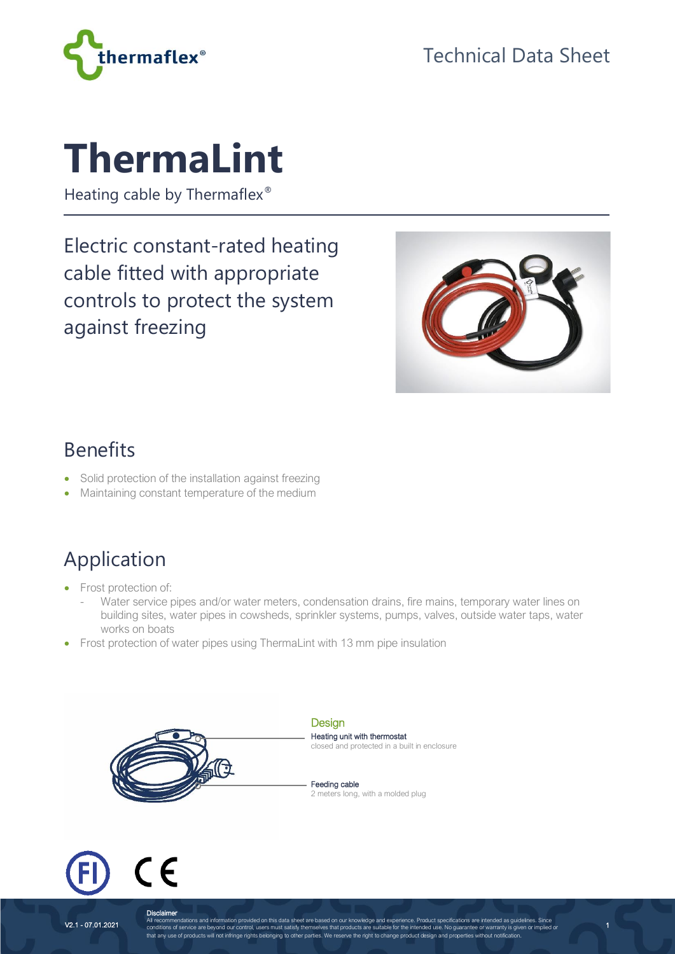

# **ThermaLint**

Heating cable by Thermaflex<sup>®</sup>

Electric constant-rated heating cable fitted with appropriate controls to protect the system against freezing



1

#### Benefits

- Solid protection of the installation against freezing
- Maintaining constant temperature of the medium

# Application

- Frost protection of:
	- Water service pipes and/or water meters, condensation drains, fire mains, temporary water lines on building sites, water pipes in cowsheds, sprinkler systems, pumps, valves, outside water taps, water works on boats
- Frost protection of water pipes using ThermaLint with 13 mm pipe insulation